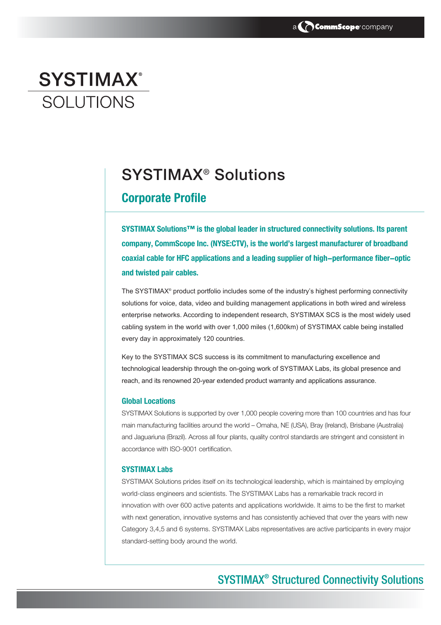# **SYSTIMAX®** SOI UTIONS

## SYSTIMAX® Solutions

### **Corporate Profile**

**SYSTIMAX Solutions™ is the global leader in structured connectivity solutions. Its parent company, CommScope Inc. (NYSE:CTV), is the world's largest manufacturer of broadband coaxial cable for HFC applications and a leading supplier of high-performance fiber-optic and twisted pair cables.** 

The SYSTIMAX® product portfolio includes some of the industry's highest performing connectivity solutions for voice, data, video and building management applications in both wired and wireless enterprise networks. According to independent research, SYSTIMAX SCS is the most widely used cabling system in the world with over 1,000 miles (1,600km) of SYSTIMAX cable being installed every day in approximately 120 countries.

Key to the SYSTIMAX SCS success is its commitment to manufacturing excellence and technological leadership through the on-going work of SYSTIMAX Labs, its global presence and reach, and its renowned 20-year extended product warranty and applications assurance.

### **Global Locations**

SYSTIMAX Solutions is supported by over 1,000 people covering more than 100 countries and has four main manufacturing facilities around the world – Omaha, NE (USA), Bray (Ireland), Brisbane (Australia) and Jaguariuna (Brazil). Across all four plants, quality control standards are stringent and consistent in accordance with ISO-9001 certification.

### **SYSTIMAX Labs**

SYSTIMAX Solutions prides itself on its technological leadership, which is maintained by employing world-class engineers and scientists. The SYSTIMAX Labs has a remarkable track record in innovation with over 600 active patents and applications worldwide. It aims to be the first to market with next generation, innovative systems and has consistently achieved that over the years with new Category 3,4,5 and 6 systems. SYSTIMAX Labs representatives are active participants in every major standard-setting body around the world.

### SYSTIMAX® Structured Connectivity Solutions